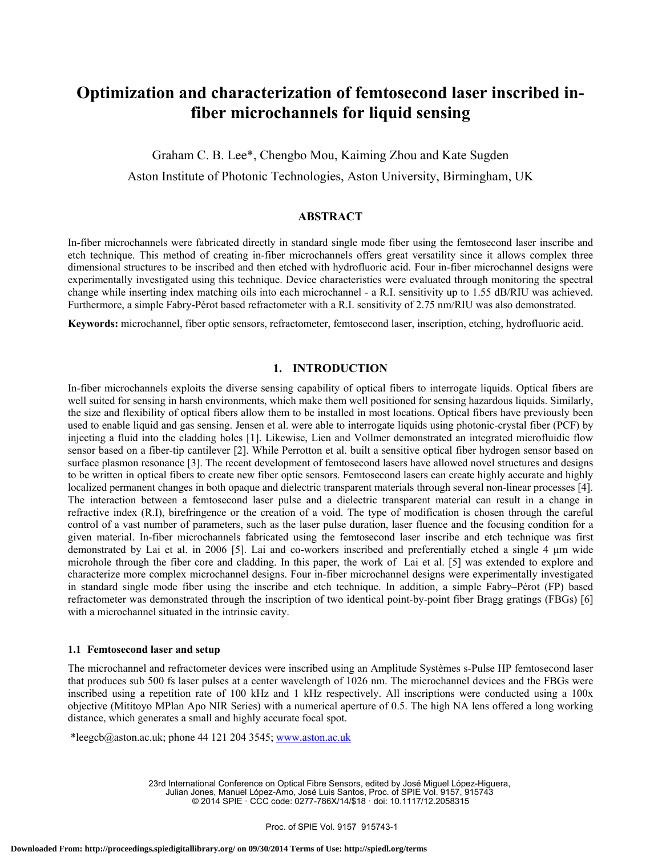# **Optimization and characterization of femtosecond laser inscribed infiber microchannels for liquid sensing**

Graham C. B. Lee\*, Chengbo Mou, Kaiming Zhou and Kate Sugden Aston Institute of Photonic Technologies, Aston University, Birmingham, UK

#### **ABSTRACT**

In-fiber microchannels were fabricated directly in standard single mode fiber using the femtosecond laser inscribe and etch technique. This method of creating in-fiber microchannels offers great versatility since it allows complex three dimensional structures to be inscribed and then etched with hydrofluoric acid. Four in-fiber microchannel designs were experimentally investigated using this technique. Device characteristics were evaluated through monitoring the spectral change while inserting index matching oils into each microchannel - a R.I. sensitivity up to 1.55 dB/RIU was achieved. Furthermore, a simple Fabry-Pérot based refractometer with a R.I. sensitivity of 2.75 nm/RIU was also demonstrated.

**Keywords:** microchannel, fiber optic sensors, refractometer, femtosecond laser, inscription, etching, hydrofluoric acid.

# **1. INTRODUCTION**

In-fiber microchannels exploits the diverse sensing capability of optical fibers to interrogate liquids. Optical fibers are well suited for sensing in harsh environments, which make them well positioned for sensing hazardous liquids. Similarly, the size and flexibility of optical fibers allow them to be installed in most locations. Optical fibers have previously been used to enable liquid and gas sensing. Jensen et al. were able to interrogate liquids using photonic-crystal fiber (PCF) by injecting a fluid into the cladding holes [1]. Likewise, Lien and Vollmer demonstrated an integrated microfluidic flow sensor based on a fiber-tip cantilever [2]. While Perrotton et al. built a sensitive optical fiber hydrogen sensor based on surface plasmon resonance [3]. The recent development of femtosecond lasers have allowed novel structures and designs to be written in optical fibers to create new fiber optic sensors. Femtosecond lasers can create highly accurate and highly localized permanent changes in both opaque and dielectric transparent materials through several non-linear processes [4]. The interaction between a femtosecond laser pulse and a dielectric transparent material can result in a change in refractive index (R.I), birefringence or the creation of a void. The type of modification is chosen through the careful control of a vast number of parameters, such as the laser pulse duration, laser fluence and the focusing condition for a given material. In-fiber microchannels fabricated using the femtosecond laser inscribe and etch technique was first demonstrated by Lai et al. in 2006 [5]. Lai and co-workers inscribed and preferentially etched a single 4  $\mu$ m wide microhole through the fiber core and cladding. In this paper, the work of Lai et al. [5] was extended to explore and characterize more complex microchannel designs. Four in-fiber microchannel designs were experimentally investigated in standard single mode fiber using the inscribe and etch technique. In addition, a simple Fabry–Pérot (FP) based refractometer was demonstrated through the inscription of two identical point-by-point fiber Bragg gratings (FBGs) [6] with a microchannel situated in the intrinsic cavity.

#### **1.1 Femtosecond laser and setup**

The microchannel and refractometer devices were inscribed using an Amplitude Systèmes s-Pulse HP femtosecond laser that produces sub 500 fs laser pulses at a center wavelength of 1026 nm. The microchannel devices and the FBGs were inscribed using a repetition rate of 100 kHz and 1 kHz respectively. All inscriptions were conducted using a 100x objective (Mititoyo MPlan Apo NIR Series) with a numerical aperture of 0.5. The high NA lens offered a long working distance, which generates a small and highly accurate focal spot.

\*leegcb@aston.ac.uk; phone 44 121 204 3545; www.aston.ac.uk

23rd International Conference on Optical Fibre Sensors, edited by José Miguel López-Higuera, Julian Jones, Manuel López-Amo, José Luis Santos, Proc. of SPIE Vol. 9157, 915743 © 2014 SPIE · CCC code: 0277-786X/14/\$18 · doi: 10.1117/12.2058315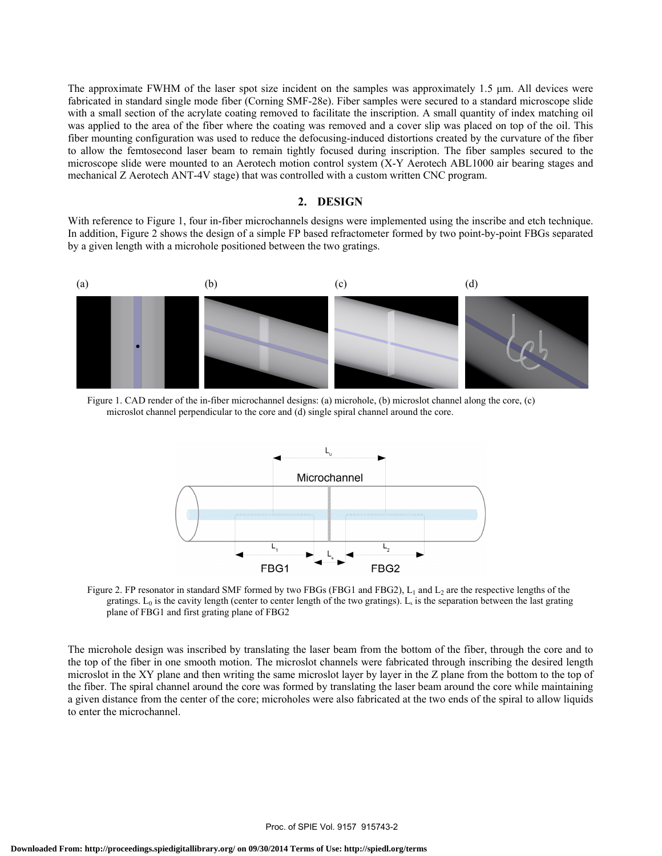The approximate FWHM of the laser spot size incident on the samples was approximately 1.5 μm. All devices were fabricated in standard single mode fiber (Corning SMF-28e). Fiber samples were secured to a standard microscope slide with a small section of the acrylate coating removed to facilitate the inscription. A small quantity of index matching oil was applied to the area of the fiber where the coating was removed and a cover slip was placed on top of the oil. This fiber mounting configuration was used to reduce the defocusing-induced distortions created by the curvature of the fiber to allow the femtosecond laser beam to remain tightly focused during inscription. The fiber samples secured to the microscope slide were mounted to an Aerotech motion control system (X-Y Aerotech ABL1000 air bearing stages and mechanical Z Aerotech ANT-4V stage) that was controlled with a custom written CNC program.

### **2. DESIGN**

With reference to Figure 1, four in-fiber microchannels designs were implemented using the inscribe and etch technique. In addition, Figure 2 shows the design of a simple FP based refractometer formed by two point-by-point FBGs separated by a given length with a microhole positioned between the two gratings.



Figure 1. CAD render of the in-fiber microchannel designs: (a) microhole, (b) microslot channel along the core, (c) microslot channel perpendicular to the core and (d) single spiral channel around the core.



Figure 2. FP resonator in standard SMF formed by two FBGs (FBG1 and FBG2),  $L_1$  and  $L_2$  are the respective lengths of the gratings.  $L_0$  is the cavity length (center to center length of the two gratings).  $L_s$  is the separation between the last grating plane of FBG1 and first grating plane of FBG2

The microhole design was inscribed by translating the laser beam from the bottom of the fiber, through the core and to the top of the fiber in one smooth motion. The microslot channels were fabricated through inscribing the desired length microslot in the XY plane and then writing the same microslot layer by layer in the Z plane from the bottom to the top of the fiber. The spiral channel around the core was formed by translating the laser beam around the core while maintaining a given distance from the center of the core; microholes were also fabricated at the two ends of the spiral to allow liquids to enter the microchannel.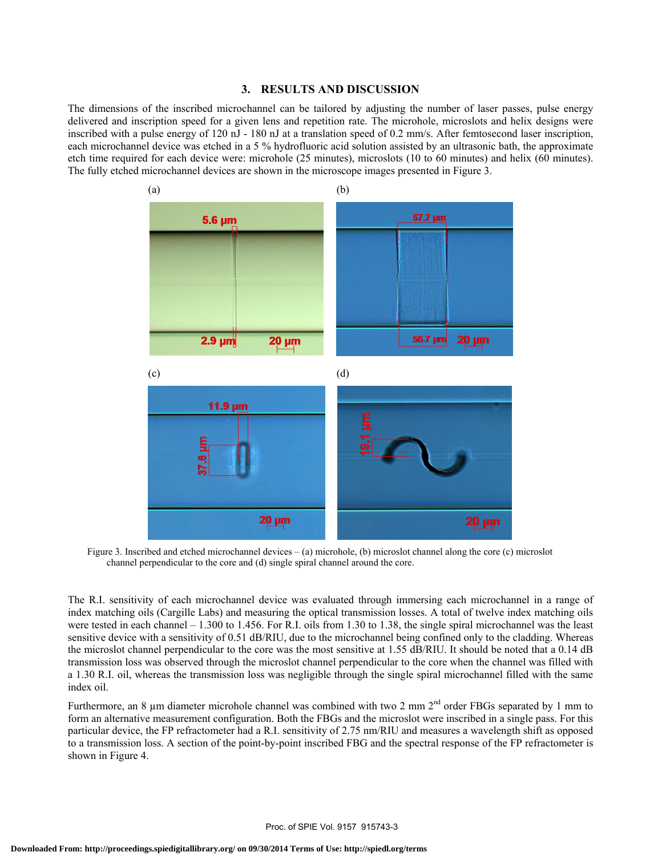#### **3. RESULTS AND DISCUSSION**

The dimensions of the inscribed microchannel can be tailored by adjusting the number of laser passes, pulse energy delivered and inscription speed for a given lens and repetition rate. The microhole, microslots and helix designs were inscribed with a pulse energy of 120 nJ - 180 nJ at a translation speed of 0.2 mm/s. After femtosecond laser inscription, each microchannel device was etched in a 5 % hydrofluoric acid solution assisted by an ultrasonic bath, the approximate etch time required for each device were: microhole (25 minutes), microslots (10 to 60 minutes) and helix (60 minutes). The fully etched microchannel devices are shown in the microscope images presented in Figure 3.



Figure 3. Inscribed and etched microchannel devices – (a) microhole, (b) microslot channel along the core (c) microslot channel perpendicular to the core and (d) single spiral channel around the core.

The R.I. sensitivity of each microchannel device was evaluated through immersing each microchannel in a range of index matching oils (Cargille Labs) and measuring the optical transmission losses. A total of twelve index matching oils were tested in each channel – 1.300 to 1.456. For R.I. oils from 1.30 to 1.38, the single spiral microchannel was the least sensitive device with a sensitivity of 0.51 dB/RIU, due to the microchannel being confined only to the cladding. Whereas the microslot channel perpendicular to the core was the most sensitive at 1.55 dB/RIU. It should be noted that a 0.14 dB transmission loss was observed through the microslot channel perpendicular to the core when the channel was filled with a 1.30 R.I. oil, whereas the transmission loss was negligible through the single spiral microchannel filled with the same index oil.

Furthermore, an 8 µm diameter microhole channel was combined with two 2 mm 2<sup>nd</sup> order FBGs separated by 1 mm to form an alternative measurement configuration. Both the FBGs and the microslot were inscribed in a single pass. For this particular device, the FP refractometer had a R.I. sensitivity of 2.75 nm/RIU and measures a wavelength shift as opposed to a transmission loss. A section of the point-by-point inscribed FBG and the spectral response of the FP refractometer is shown in Figure 4.